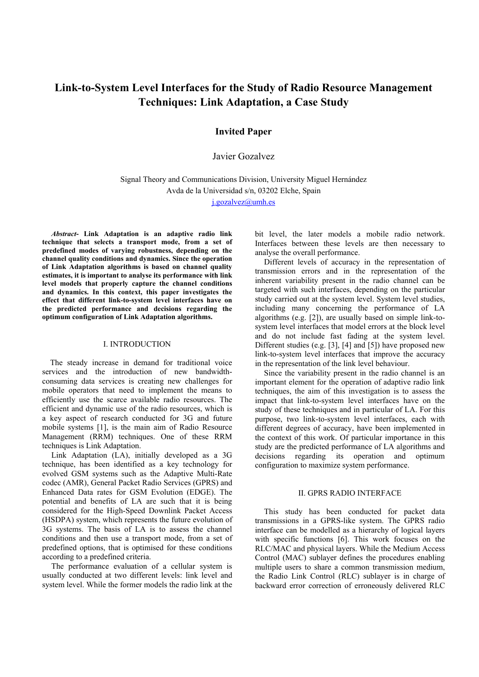# **Link-to-System Level Interfaces for the Study of Radio Resource Management Techniques: Link Adaptation, a Case Study**

## **Invited Paper**

Javier Gozalvez

Signal Theory and Communications Division, University Miguel Hernández Avda de la Universidad s/n, 03202 Elche, Spain

j.gozalvez@umh.es

*Abstract***- Link Adaptation is an adaptive radio link technique that selects a transport mode, from a set of predefined modes of varying robustness, depending on the channel quality conditions and dynamics. Since the operation of Link Adaptation algorithms is based on channel quality estimates, it is important to analyse its performance with link level models that properly capture the channel conditions and dynamics. In this context, this paper investigates the effect that different link-to-system level interfaces have on the predicted performance and decisions regarding the optimum configuration of Link Adaptation algorithms.** 

#### I. INTRODUCTION

The steady increase in demand for traditional voice services and the introduction of new bandwidthconsuming data services is creating new challenges for mobile operators that need to implement the means to efficiently use the scarce available radio resources. The efficient and dynamic use of the radio resources, which is a key aspect of research conducted for 3G and future mobile systems [1], is the main aim of Radio Resource Management (RRM) techniques. One of these RRM techniques is Link Adaptation.

Link Adaptation (LA), initially developed as a 3G technique, has been identified as a key technology for evolved GSM systems such as the Adaptive Multi-Rate codec (AMR), General Packet Radio Services (GPRS) and Enhanced Data rates for GSM Evolution (EDGE). The potential and benefits of LA are such that it is being considered for the High-Speed Downlink Packet Access (HSDPA) system, which represents the future evolution of 3G systems. The basis of LA is to assess the channel conditions and then use a transport mode, from a set of predefined options, that is optimised for these conditions according to a predefined criteria.

The performance evaluation of a cellular system is usually conducted at two different levels: link level and system level. While the former models the radio link at the bit level, the later models a mobile radio network. Interfaces between these levels are then necessary to analyse the overall performance.

Different levels of accuracy in the representation of transmission errors and in the representation of the inherent variability present in the radio channel can be targeted with such interfaces, depending on the particular study carried out at the system level. System level studies, including many concerning the performance of LA algorithms (e.g. [2]), are usually based on simple link-tosystem level interfaces that model errors at the block level and do not include fast fading at the system level. Different studies (e.g. [3], [4] and [5]) have proposed new link-to-system level interfaces that improve the accuracy in the representation of the link level behaviour.

Since the variability present in the radio channel is an important element for the operation of adaptive radio link techniques, the aim of this investigation is to assess the impact that link-to-system level interfaces have on the study of these techniques and in particular of LA. For this purpose, two link-to-system level interfaces, each with different degrees of accuracy, have been implemented in the context of this work. Of particular importance in this study are the predicted performance of LA algorithms and decisions regarding its operation and optimum configuration to maximize system performance.

#### II. GPRS RADIO INTERFACE

This study has been conducted for packet data transmissions in a GPRS-like system. The GPRS radio interface can be modelled as a hierarchy of logical layers with specific functions [6]. This work focuses on the RLC/MAC and physical layers. While the Medium Access Control (MAC) sublayer defines the procedures enabling multiple users to share a common transmission medium, the Radio Link Control (RLC) sublayer is in charge of backward error correction of erroneously delivered RLC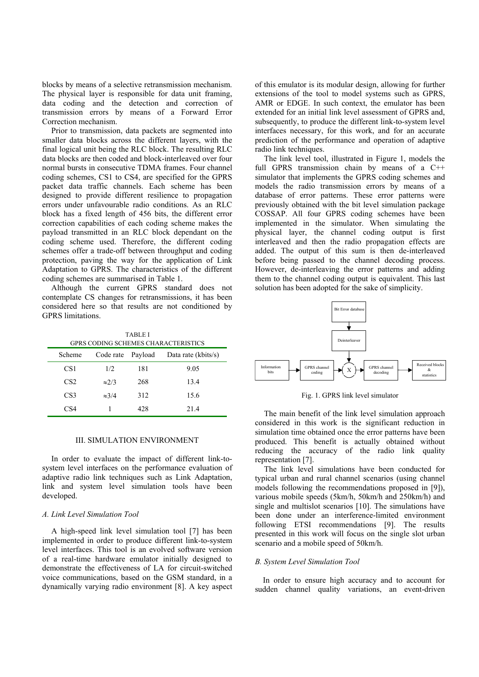blocks by means of a selective retransmission mechanism. The physical layer is responsible for data unit framing, data coding and the detection and correction of transmission errors by means of a Forward Error Correction mechanism.

Prior to transmission, data packets are segmented into smaller data blocks across the different layers, with the final logical unit being the RLC block. The resulting RLC data blocks are then coded and block-interleaved over four normal bursts in consecutive TDMA frames. Four channel coding schemes, CS1 to CS4, are specified for the GPRS packet data traffic channels. Each scheme has been designed to provide different resilience to propagation errors under unfavourable radio conditions. As an RLC block has a fixed length of 456 bits, the different error correction capabilities of each coding scheme makes the payload transmitted in an RLC block dependant on the coding scheme used. Therefore, the different coding schemes offer a trade-off between throughput and coding protection, paving the way for the application of Link Adaptation to GPRS. The characteristics of the different coding schemes are summarised in Table 1.

Although the current GPRS standard does not contemplate CS changes for retransmissions, it has been considered here so that results are not conditioned by GPRS limitations.

TABLE I GPRS CODING SCHEMES CHARACTERISTICS

| Scheme          | Code rate Payload |     | Data rate (kbits/s) |
|-----------------|-------------------|-----|---------------------|
| CS <sub>1</sub> | 1/2               | 181 | 9.05                |
| CS <sub>2</sub> | $\approx$ 2/3     | 268 | 13.4                |
| CS <sub>3</sub> | $\approx 3/4$     | 312 | 15.6                |
| CS4             |                   | 428 | 21.4                |

#### III. SIMULATION ENVIRONMENT

In order to evaluate the impact of different link-tosystem level interfaces on the performance evaluation of adaptive radio link techniques such as Link Adaptation, link and system level simulation tools have been developed.

#### *A. Link Level Simulation Tool*

A high-speed link level simulation tool [7] has been implemented in order to produce different link-to-system level interfaces. This tool is an evolved software version of a real-time hardware emulator initially designed to demonstrate the effectiveness of LA for circuit-switched voice communications, based on the GSM standard, in a dynamically varying radio environment [8]. A key aspect of this emulator is its modular design, allowing for further extensions of the tool to model systems such as GPRS, AMR or EDGE. In such context, the emulator has been extended for an initial link level assessment of GPRS and, subsequently, to produce the different link-to-system level interfaces necessary, for this work, and for an accurate prediction of the performance and operation of adaptive radio link techniques.

The link level tool, illustrated in Figure 1, models the full GPRS transmission chain by means of a C++ simulator that implements the GPRS coding schemes and models the radio transmission errors by means of a database of error patterns. These error patterns were previously obtained with the bit level simulation package COSSAP. All four GPRS coding schemes have been implemented in the simulator. When simulating the physical layer, the channel coding output is first interleaved and then the radio propagation effects are added. The output of this sum is then de-interleaved before being passed to the channel decoding process. However, de-interleaving the error patterns and adding them to the channel coding output is equivalent. This last solution has been adopted for the sake of simplicity.



Fig. 1. GPRS link level simulator

The main benefit of the link level simulation approach considered in this work is the significant reduction in simulation time obtained once the error patterns have been produced. This benefit is actually obtained without reducing the accuracy of the radio link quality representation [7].

The link level simulations have been conducted for typical urban and rural channel scenarios (using channel models following the recommendations proposed in [9]), various mobile speeds (5km/h, 50km/h and 250km/h) and single and multislot scenarios [10]. The simulations have been done under an interference-limited environment following ETSI recommendations [9]. The results presented in this work will focus on the single slot urban scenario and a mobile speed of 50 km/h.

#### *B. System Level Simulation Tool*

In order to ensure high accuracy and to account for sudden channel quality variations, an event-driven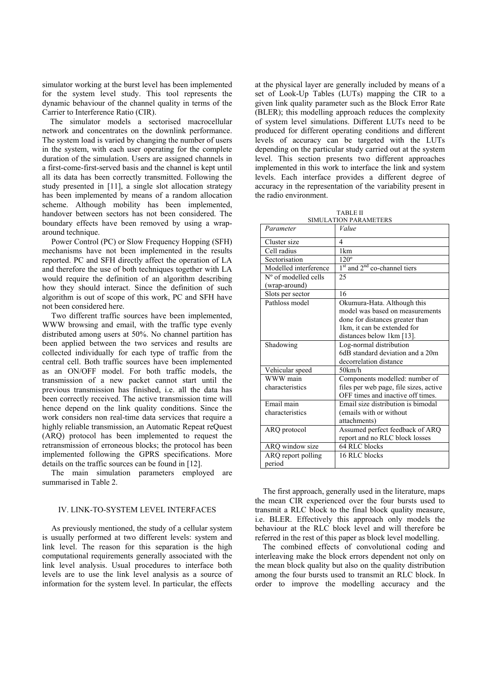simulator working at the burst level has been implemented for the system level study. This tool represents the dynamic behaviour of the channel quality in terms of the Carrier to Interference Ratio (CIR).

The simulator models a sectorised macrocellular network and concentrates on the downlink performance. The system load is varied by changing the number of users in the system, with each user operating for the complete duration of the simulation. Users are assigned channels in a first-come-first-served basis and the channel is kept until all its data has been correctly transmitted. Following the study presented in [11], a single slot allocation strategy has been implemented by means of a random allocation scheme. Although mobility has been implemented, handover between sectors has not been considered. The boundary effects have been removed by using a wraparound technique.

Power Control (PC) or Slow Frequency Hopping (SFH) mechanisms have not been implemented in the results reported. PC and SFH directly affect the operation of LA and therefore the use of both techniques together with LA would require the definition of an algorithm describing how they should interact. Since the definition of such algorithm is out of scope of this work, PC and SFH have not been considered here.

Two different traffic sources have been implemented, WWW browsing and email, with the traffic type evenly distributed among users at 50%. No channel partition has been applied between the two services and results are collected individually for each type of traffic from the central cell. Both traffic sources have been implemented as an ON/OFF model. For both traffic models, the transmission of a new packet cannot start until the previous transmission has finished, i.e. all the data has been correctly received. The active transmission time will hence depend on the link quality conditions. Since the work considers non real-time data services that require a highly reliable transmission, an Automatic Repeat reQuest (ARQ) protocol has been implemented to request the retransmission of erroneous blocks; the protocol has been implemented following the GPRS specifications. More details on the traffic sources can be found in [12].

The main simulation parameters employed are summarised in Table 2.

#### IV. LINK-TO-SYSTEM LEVEL INTERFACES

As previously mentioned, the study of a cellular system is usually performed at two different levels: system and link level. The reason for this separation is the high computational requirements generally associated with the link level analysis. Usual procedures to interface both levels are to use the link level analysis as a source of information for the system level. In particular, the effects at the physical layer are generally included by means of a set of Look-Up Tables (LUTs) mapping the CIR to a given link quality parameter such as the Block Error Rate (BLER); this modelling approach reduces the complexity of system level simulations. Different LUTs need to be produced for different operating conditions and different levels of accuracy can be targeted with the LUTs depending on the particular study carried out at the system level. This section presents two different approaches implemented in this work to interface the link and system levels. Each interface provides a different degree of accuracy in the representation of the variability present in the radio environment.

| <b>TABLE II</b>       |
|-----------------------|
| SIMULATION PARAMETERS |

| Parameter                     | Value                                                |  |
|-------------------------------|------------------------------------------------------|--|
| Cluster size                  | 4                                                    |  |
| Cell radius                   | 1km                                                  |  |
| Sectorisation                 | $120^\circ$                                          |  |
| Modelled interference         | 1 <sup>st</sup> and 2 <sup>nd</sup> co-channel tiers |  |
| $N^{\circ}$ of modelled cells | 25                                                   |  |
| (wrap-around)                 |                                                      |  |
| Slots per sector              | 16                                                   |  |
| Pathloss model                | Okumura-Hata. Although this                          |  |
|                               | model was based on measurements                      |  |
|                               | done for distances greater than                      |  |
|                               | 1 km, it can be extended for                         |  |
|                               | distances below 1km [13].                            |  |
| Shadowing                     | Log-normal distribution                              |  |
|                               | 6dB standard deviation and a 20m                     |  |
|                               | decorrelation distance                               |  |
| Vehicular speed               | 50km/h                                               |  |
| WWW main                      | Components modelled: number of                       |  |
| characteristics               | files per web page, file sizes, active               |  |
|                               | OFF times and inactive off times.                    |  |
| Email main                    | Email size distribution is bimodal                   |  |
| characteristics               | (emails with or without                              |  |
|                               | attachments)                                         |  |
| ARQ protocol                  | Assumed perfect feedback of ARQ                      |  |
|                               | report and no RLC block losses                       |  |
| ARQ window size               | 64 RLC blocks                                        |  |
| ARQ report polling            | 16 RLC blocks                                        |  |
| period                        |                                                      |  |

The first approach, generally used in the literature, maps the mean CIR experienced over the four bursts used to transmit a RLC block to the final block quality measure, i.e. BLER. Effectively this approach only models the behaviour at the RLC block level and will therefore be referred in the rest of this paper as block level modelling.

The combined effects of convolutional coding and interleaving make the block errors dependent not only on the mean block quality but also on the quality distribution among the four bursts used to transmit an RLC block. In order to improve the modelling accuracy and the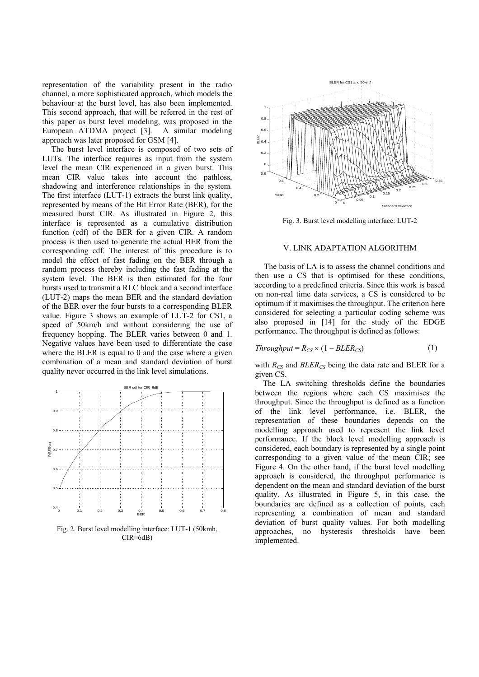representation of the variability present in the radio channel, a more sophisticated approach, which models the behaviour at the burst level, has also been implemented. This second approach, that will be referred in the rest of this paper as burst level modeling, was proposed in the European ATDMA project [3]. A similar modeling approach was later proposed for GSM [4].

The burst level interface is composed of two sets of LUTs. The interface requires as input from the system level the mean CIR experienced in a given burst. This mean CIR value takes into account the pathloss, shadowing and interference relationships in the system. The first interface (LUT-1) extracts the burst link quality, represented by means of the Bit Error Rate (BER), for the measured burst CIR. As illustrated in Figure 2, this interface is represented as a cumulative distribution function (cdf) of the BER for a given CIR. A random process is then used to generate the actual BER from the corresponding cdf. The interest of this procedure is to model the effect of fast fading on the BER through a random process thereby including the fast fading at the system level. The BER is then estimated for the four bursts used to transmit a RLC block and a second interface (LUT-2) maps the mean BER and the standard deviation of the BER over the four bursts to a corresponding BLER value. Figure 3 shows an example of LUT-2 for CS1, a speed of 50km/h and without considering the use of frequency hopping. The BLER varies between 0 and 1. Negative values have been used to differentiate the case where the BLER is equal to 0 and the case where a given combination of a mean and standard deviation of burst quality never occurred in the link level simulations.



Fig. 2. Burst level modelling interface: LUT-1 (50kmh, CIR=6dB)



Fig. 3. Burst level modelling interface: LUT-2

#### V. LINK ADAPTATION ALGORITHM

The basis of LA is to assess the channel conditions and then use a CS that is optimised for these conditions, according to a predefined criteria. Since this work is based on non-real time data services, a CS is considered to be optimum if it maximises the throughput. The criterion here considered for selecting a particular coding scheme was also proposed in [14] for the study of the EDGE performance. The throughput is defined as follows:

$$
Throughout = R_{CS} \times (1 - BLER_{CS}) \tag{1}
$$

with  $R_{CS}$  and  $BLER_{CS}$  being the data rate and BLER for a given CS.

The LA switching thresholds define the boundaries between the regions where each CS maximises the throughput. Since the throughput is defined as a function of the link level performance, i.e. BLER, the representation of these boundaries depends on the modelling approach used to represent the link level performance. If the block level modelling approach is considered, each boundary is represented by a single point corresponding to a given value of the mean CIR; see Figure 4. On the other hand, if the burst level modelling approach is considered, the throughput performance is dependent on the mean and standard deviation of the burst quality. As illustrated in Figure 5, in this case, the boundaries are defined as a collection of points, each representing a combination of mean and standard deviation of burst quality values. For both modelling approaches, no hysteresis thresholds have been implemented.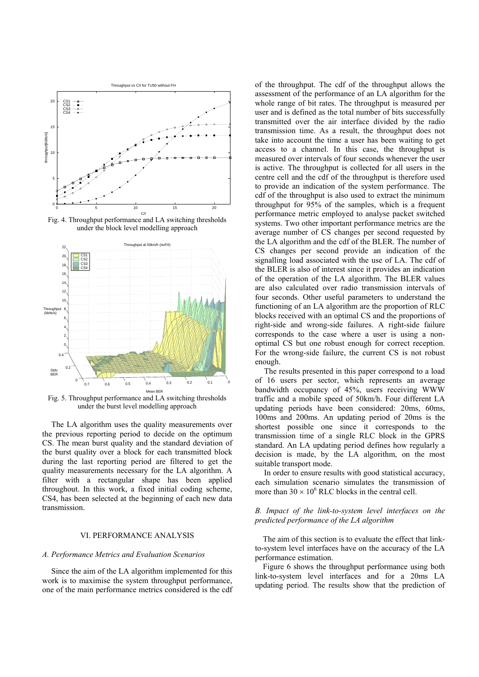

Fig. 4. Throughput performance and LA switching thresholds under the block level modelling approach



Fig. 5. Throughput performance and LA switching thresholds under the burst level modelling approach

The LA algorithm uses the quality measurements over the previous reporting period to decide on the optimum CS. The mean burst quality and the standard deviation of the burst quality over a block for each transmitted block during the last reporting period are filtered to get the quality measurements necessary for the LA algorithm. A filter with a rectangular shape has been applied throughout. In this work, a fixed initial coding scheme, CS4, has been selected at the beginning of each new data transmission.

## VI. PERFORMANCE ANALYSIS

#### *A. Performance Metrics and Evaluation Scenarios*

Since the aim of the LA algorithm implemented for this work is to maximise the system throughput performance, one of the main performance metrics considered is the cdf

of the throughput. The cdf of the throughput allows the assessment of the performance of an LA algorithm for the whole range of bit rates. The throughput is measured per user and is defined as the total number of bits successfully transmitted over the air interface divided by the radio transmission time. As a result, the throughput does not take into account the time a user has been waiting to get access to a channel. In this case, the throughput is measured over intervals of four seconds whenever the user is active. The throughput is collected for all users in the centre cell and the cdf of the throughput is therefore used to provide an indication of the system performance. The cdf of the throughput is also used to extract the minimum throughput for 95% of the samples, which is a frequent performance metric employed to analyse packet switched systems. Two other important performance metrics are the average number of CS changes per second requested by the LA algorithm and the cdf of the BLER. The number of CS changes per second provide an indication of the signalling load associated with the use of LA. The cdf of the BLER is also of interest since it provides an indication of the operation of the LA algorithm. The BLER values are also calculated over radio transmission intervals of four seconds. Other useful parameters to understand the functioning of an LA algorithm are the proportion of RLC blocks received with an optimal CS and the proportions of right-side and wrong-side failures. A right-side failure corresponds to the case where a user is using a nonoptimal CS but one robust enough for correct reception. For the wrong-side failure, the current CS is not robust enough.

The results presented in this paper correspond to a load of 16 users per sector, which represents an average bandwidth occupancy of 45%, users receiving WWW traffic and a mobile speed of 50km/h. Four different LA updating periods have been considered: 20ms, 60ms, 100ms and 200ms. An updating period of 20ms is the shortest possible one since it corresponds to the transmission time of a single RLC block in the GPRS standard. An LA updating period defines how regularly a decision is made, by the LA algorithm, on the most suitable transport mode.

In order to ensure results with good statistical accuracy, each simulation scenario simulates the transmission of more than  $30 \times 10^6$  RLC blocks in the central cell.

## *B. Impact of the link-to-system level interfaces on the predicted performance of the LA algorithm*

The aim of this section is to evaluate the effect that linkto-system level interfaces have on the accuracy of the LA performance estimation.

Figure 6 shows the throughput performance using both link-to-system level interfaces and for a 20ms LA updating period. The results show that the prediction of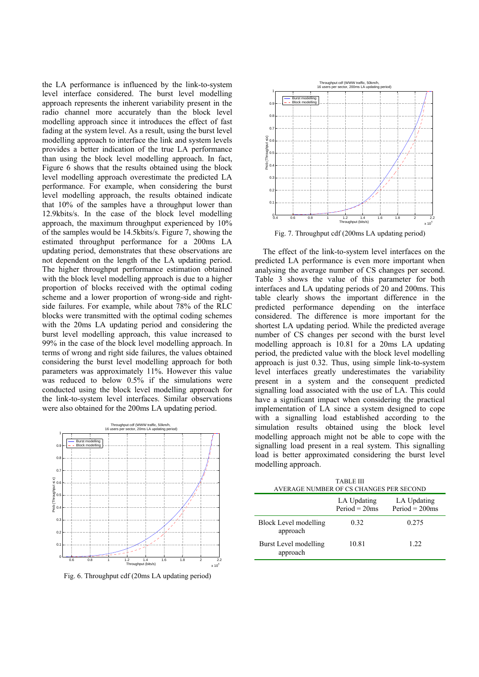the LA performance is influenced by the link-to-system level interface considered. The burst level modelling approach represents the inherent variability present in the radio channel more accurately than the block level modelling approach since it introduces the effect of fast fading at the system level. As a result, using the burst level modelling approach to interface the link and system levels provides a better indication of the true LA performance than using the block level modelling approach. In fact, Figure 6 shows that the results obtained using the block level modelling approach overestimate the predicted LA performance. For example, when considering the burst level modelling approach, the results obtained indicate that 10% of the samples have a throughput lower than 12.9kbits/s. In the case of the block level modelling approach, the maximum throughput experienced by 10% of the samples would be 14.5kbits/s. Figure 7, showing the estimated throughput performance for a 200ms LA updating period, demonstrates that these observations are not dependent on the length of the LA updating period. The higher throughput performance estimation obtained with the block level modelling approach is due to a higher proportion of blocks received with the optimal coding scheme and a lower proportion of wrong-side and rightside failures. For example, while about 78% of the RLC blocks were transmitted with the optimal coding schemes with the 20ms LA updating period and considering the burst level modelling approach, this value increased to 99% in the case of the block level modelling approach. In terms of wrong and right side failures, the values obtained considering the burst level modelling approach for both parameters was approximately 11%. However this value was reduced to below 0.5% if the simulations were conducted using the block level modelling approach for the link-to-system level interfaces. Similar observations were also obtained for the 200ms LA updating period.



Fig. 6. Throughput cdf (20ms LA updating period)



Fig. 7. Throughput cdf (200ms LA updating period)

The effect of the link-to-system level interfaces on the predicted LA performance is even more important when analysing the average number of CS changes per second. Table 3 shows the value of this parameter for both interfaces and LA updating periods of 20 and 200ms. This table clearly shows the important difference in the predicted performance depending on the interface considered. The difference is more important for the shortest LA updating period. While the predicted average number of CS changes per second with the burst level modelling approach is 10.81 for a 20ms LA updating period, the predicted value with the block level modelling approach is just 0.32. Thus, using simple link-to-system level interfaces greatly underestimates the variability present in a system and the consequent predicted signalling load associated with the use of LA. This could have a significant impact when considering the practical implementation of LA since a system designed to cope with a signalling load established according to the simulation results obtained using the block level modelling approach might not be able to cope with the signalling load present in a real system. This signalling load is better approximated considering the burst level modelling approach.

| TABLE III<br>AVERAGE NUMBER OF CS CHANGES PER SECOND |                                |                                  |  |  |  |
|------------------------------------------------------|--------------------------------|----------------------------------|--|--|--|
|                                                      | LA Updating<br>$Period = 20ms$ | LA Updating<br>$Period = 200$ ms |  |  |  |
| Block Level modelling<br>approach                    | 0.32                           | 0.275                            |  |  |  |
| Burst Level modelling<br>approach                    | 10.81                          | 1 22                             |  |  |  |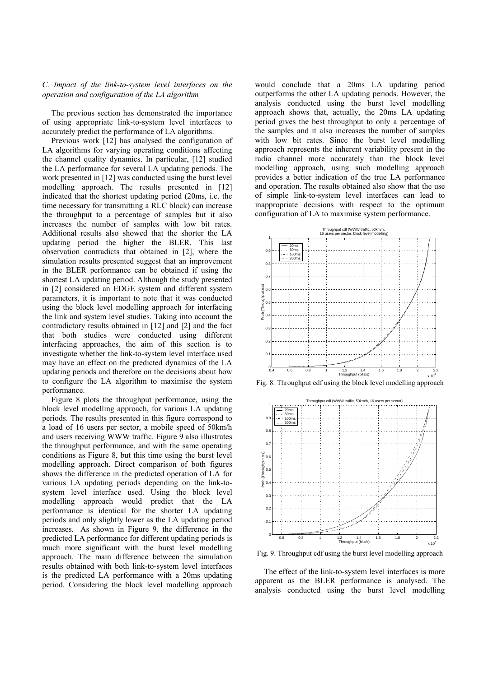#### *C. Impact of the link-to-system level interfaces on the operation and configuration of the LA algorithm*

The previous section has demonstrated the importance of using appropriate link-to-system level interfaces to accurately predict the performance of LA algorithms.

Previous work [12] has analysed the configuration of LA algorithms for varying operating conditions affecting the channel quality dynamics. In particular, [12] studied the LA performance for several LA updating periods. The work presented in [12] was conducted using the burst level modelling approach. The results presented in [12] indicated that the shortest updating period (20ms, i.e. the time necessary for transmitting a RLC block) can increase the throughput to a percentage of samples but it also increases the number of samples with low bit rates. Additional results also showed that the shorter the LA updating period the higher the BLER. This last observation contradicts that obtained in [2], where the simulation results presented suggest that an improvement in the BLER performance can be obtained if using the shortest LA updating period. Although the study presented in [2] considered an EDGE system and different system parameters, it is important to note that it was conducted using the block level modelling approach for interfacing the link and system level studies. Taking into account the contradictory results obtained in [12] and [2] and the fact that both studies were conducted using different interfacing approaches, the aim of this section is to investigate whether the link-to-system level interface used may have an effect on the predicted dynamics of the LA updating periods and therefore on the decisions about how to configure the LA algorithm to maximise the system performance.

Figure 8 plots the throughput performance, using the block level modelling approach, for various LA updating periods. The results presented in this figure correspond to a load of 16 users per sector, a mobile speed of 50km/h and users receiving WWW traffic. Figure 9 also illustrates the throughput performance, and with the same operating conditions as Figure 8, but this time using the burst level modelling approach. Direct comparison of both figures shows the difference in the predicted operation of LA for various LA updating periods depending on the link-tosystem level interface used. Using the block level modelling approach would predict that the LA performance is identical for the shorter LA updating periods and only slightly lower as the LA updating period increases. As shown in Figure 9, the difference in the predicted LA performance for different updating periods is much more significant with the burst level modelling approach. The main difference between the simulation results obtained with both link-to-system level interfaces is the predicted LA performance with a 20ms updating period. Considering the block level modelling approach

would conclude that a 20ms LA updating period outperforms the other LA updating periods. However, the analysis conducted using the burst level modelling approach shows that, actually, the 20ms LA updating period gives the best throughput to only a percentage of the samples and it also increases the number of samples with low bit rates. Since the burst level modelling approach represents the inherent variability present in the radio channel more accurately than the block level modelling approach, using such modelling approach provides a better indication of the true LA performance and operation. The results obtained also show that the use of simple link-to-system level interfaces can lead to inappropriate decisions with respect to the optimum configuration of LA to maximise system performance.







Fig. 9. Throughput cdf using the burst level modelling approach

The effect of the link-to-system level interfaces is more apparent as the BLER performance is analysed. The analysis conducted using the burst level modelling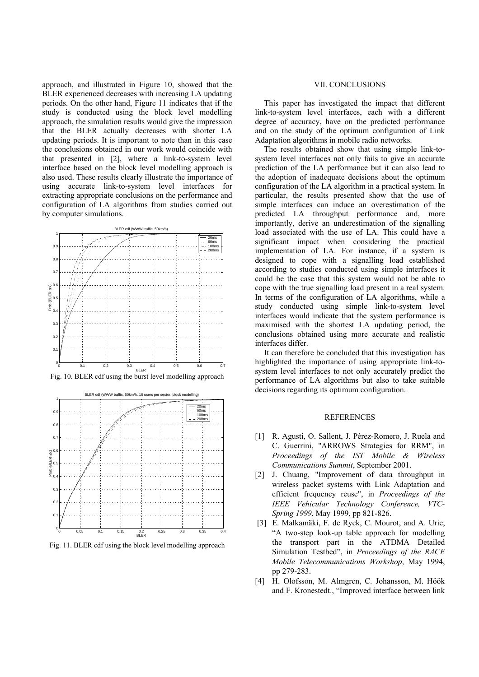approach, and illustrated in Figure 10, showed that the BLER experienced decreases with increasing LA updating periods. On the other hand, Figure 11 indicates that if the study is conducted using the block level modelling approach, the simulation results would give the impression that the BLER actually decreases with shorter LA updating periods. It is important to note than in this case the conclusions obtained in our work would coincide with that presented in [2], where a link-to-system level interface based on the block level modelling approach is also used. These results clearly illustrate the importance of using accurate link-to-system level interfaces for extracting appropriate conclusions on the performance and configuration of LA algorithms from studies carried out by computer simulations.



Fig. 10. BLER cdf using the burst level modelling approach



Fig. 11. BLER cdf using the block level modelling approach

## VII. CONCLUSIONS

This paper has investigated the impact that different link-to-system level interfaces, each with a different degree of accuracy, have on the predicted performance and on the study of the optimum configuration of Link Adaptation algorithms in mobile radio networks.

The results obtained show that using simple link-tosystem level interfaces not only fails to give an accurate prediction of the LA performance but it can also lead to the adoption of inadequate decisions about the optimum configuration of the LA algorithm in a practical system. In particular, the results presented show that the use of simple interfaces can induce an overestimation of the predicted LA throughput performance and, more importantly, derive an underestimation of the signalling load associated with the use of LA. This could have a significant impact when considering the practical implementation of LA. For instance, if a system is designed to cope with a signalling load established according to studies conducted using simple interfaces it could be the case that this system would not be able to cope with the true signalling load present in a real system. In terms of the configuration of LA algorithms, while a study conducted using simple link-to-system level interfaces would indicate that the system performance is maximised with the shortest LA updating period, the conclusions obtained using more accurate and realistic interfaces differ.

It can therefore be concluded that this investigation has highlighted the importance of using appropriate link-tosystem level interfaces to not only accurately predict the performance of LA algorithms but also to take suitable decisions regarding its optimum configuration.

# **REFERENCES**

- [1] R. Agusti, O. Sallent, J. Pérez-Romero, J. Ruela and C. Guerrini, "ARROWS Strategies for RRM", in *Proceedings of the IST Mobile & Wireless Communications Summit*, September 2001.
- [2] J. Chuang, "Improvement of data throughput in wireless packet systems with Link Adaptation and efficient frequency reuse", in *Proceedings of the IEEE Vehicular Technology Conference, VTC-Spring 1999*, May 1999, pp 821-826.
- [3] E. Malkamäki, F. de Ryck, C. Mourot, and A. Urie, "A two-step look-up table approach for modelling the transport part in the ATDMA Detailed Simulation Testbed", in *Proceedings of the RACE Mobile Telecommunications Workshop*, May 1994, pp 279-283.
- [4] H. Olofsson, M. Almgren, C. Johansson, M. Höök and F. Kronestedt., "Improved interface between link